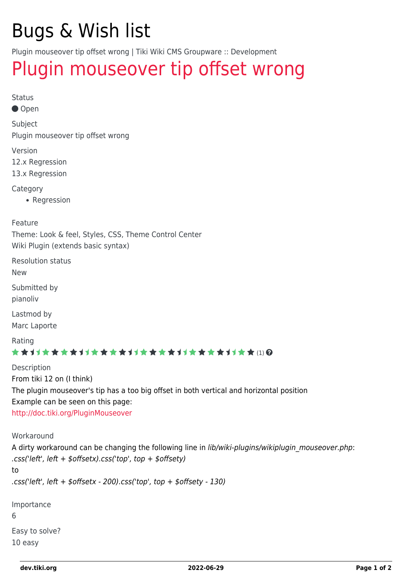# Bugs & Wish list

Plugin mouseover tip offset wrong | Tiki Wiki CMS Groupware :: Development

## [Plugin mouseover tip offset wrong](https://dev.tiki.org/item5404-Plugin-mouseover-tip-offset-wrong)

Status

● Open

Subject Plugin mouseover tip offset wrong

Version

12.x Regression

13.x Regression

**Category** 

• Regression

Feature

Theme: Look & feel, Styles, CSS, Theme Control Center Wiki Plugin (extends basic syntax)

Resolution status New

Submitted by

pianoliv

Lastmod by Marc Laporte

Rating

#### **★★**11★★★★11★★★★11★★★★11★★★★11★★ (!) @

Description From tiki 12 on (I think) The plugin mouseover's tip has a too big offset in both vertical and horizontal position Example can be seen on this page: <http://doc.tiki.org/PluginMouseover>

Workaround

A dirty workaround can be changing the following line in *lib/wiki-plugins/wikiplugin mouseover.php*: .css('left', left + \$offsetx).css('top', top + \$offsety) to .css('left', left  $+$  \$offsetx - 200).css('top', top  $+$  \$offsety - 130)

Importance 6 Easy to solve? 10 easy